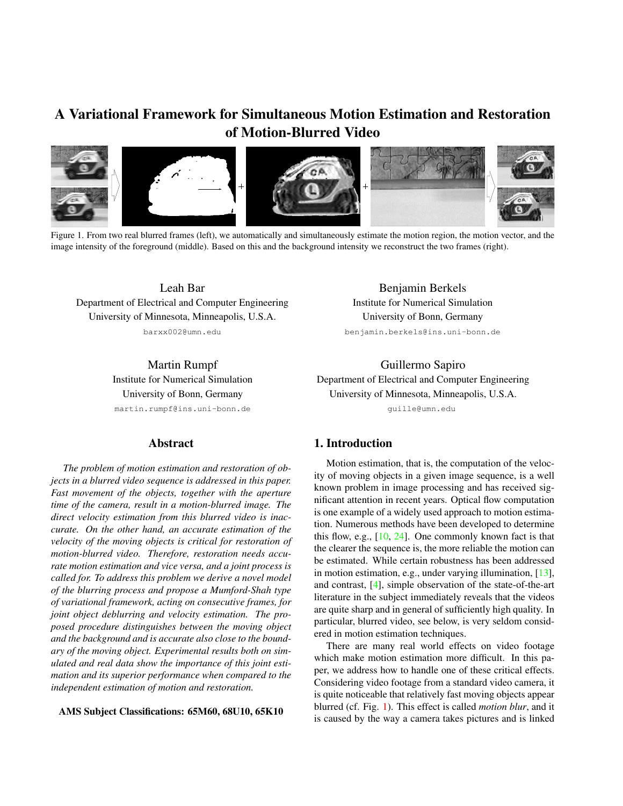# <span id="page-0-1"></span>A Variational Framework for Simultaneous Motion Estimation and Restoration of Motion-Blurred Video



Figure 1. From two real blurred frames (left), we automatically and simultaneously estimate the motion region, the motion vector, and the image intensity of the foreground (middle). Based on this and the background intensity we reconstruct the two frames (right).

<span id="page-0-0"></span>Leah Bar Department of Electrical and Computer Engineering University of Minnesota, Minneapolis, U.S.A. barxx002@umn.edu

## Martin Rumpf

Institute for Numerical Simulation University of Bonn, Germany martin.rumpf@ins.uni-bonn.de

# Abstract

*The problem of motion estimation and restoration of objects in a blurred video sequence is addressed in this paper. Fast movement of the objects, together with the aperture time of the camera, result in a motion-blurred image. The direct velocity estimation from this blurred video is inaccurate. On the other hand, an accurate estimation of the velocity of the moving objects is critical for restoration of motion-blurred video. Therefore, restoration needs accurate motion estimation and vice versa, and a joint process is called for. To address this problem we derive a novel model of the blurring process and propose a Mumford-Shah type of variational framework, acting on consecutive frames, for joint object deblurring and velocity estimation. The proposed procedure distinguishes between the moving object and the background and is accurate also close to the boundary of the moving object. Experimental results both on simulated and real data show the importance of this joint estimation and its superior performance when compared to the independent estimation of motion and restoration.*

#### AMS Subject Classifications: 65M60, 68U10, 65K10

Benjamin Berkels Institute for Numerical Simulation University of Bonn, Germany benjamin.berkels@ins.uni-bonn.de

### Guillermo Sapiro

Department of Electrical and Computer Engineering University of Minnesota, Minneapolis, U.S.A.

guille@umn.edu

# 1. Introduction

Motion estimation, that is, the computation of the velocity of moving objects in a given image sequence, is a well known problem in image processing and has received significant attention in recent years. Optical flow computation is one example of a widely used approach to motion estimation. Numerous methods have been developed to determine this flow, e.g., [\[10,](#page-7-0) [24\]](#page-7-1). One commonly known fact is that the clearer the sequence is, the more reliable the motion can be estimated. While certain robustness has been addressed in motion estimation, e.g., under varying illumination, [\[13\]](#page-7-2), and contrast, [\[4\]](#page-7-3), simple observation of the state-of-the-art literature in the subject immediately reveals that the videos are quite sharp and in general of sufficiently high quality. In particular, blurred video, see below, is very seldom considered in motion estimation techniques.

There are many real world effects on video footage which make motion estimation more difficult. In this paper, we address how to handle one of these critical effects. Considering video footage from a standard video camera, it is quite noticeable that relatively fast moving objects appear blurred (cf. Fig. [1\)](#page-0-0). This effect is called *motion blur*, and it is caused by the way a camera takes pictures and is linked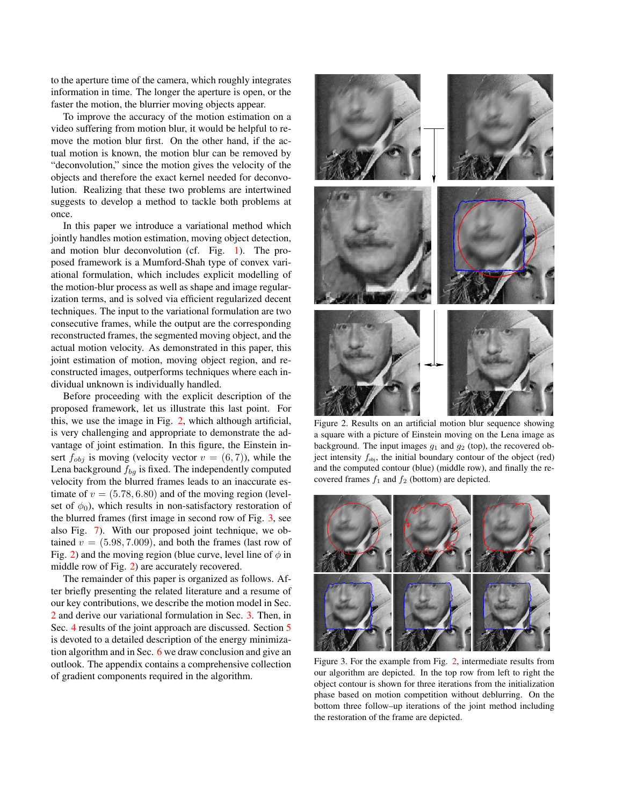to the aperture time of the camera, which roughly integrates information in time. The longer the aperture is open, or the faster the motion, the blurrier moving objects appear.

To improve the accuracy of the motion estimation on a video suffering from motion blur, it would be helpful to remove the motion blur first. On the other hand, if the actual motion is known, the motion blur can be removed by "deconvolution," since the motion gives the velocity of the objects and therefore the exact kernel needed for deconvolution. Realizing that these two problems are intertwined suggests to develop a method to tackle both problems at once.

In this paper we introduce a variational method which jointly handles motion estimation, moving object detection, and motion blur deconvolution (cf. Fig. [1\)](#page-0-0). The proposed framework is a Mumford-Shah type of convex variational formulation, which includes explicit modelling of the motion-blur process as well as shape and image regularization terms, and is solved via efficient regularized decent techniques. The input to the variational formulation are two consecutive frames, while the output are the corresponding reconstructed frames, the segmented moving object, and the actual motion velocity. As demonstrated in this paper, this joint estimation of motion, moving object region, and reconstructed images, outperforms techniques where each individual unknown is individually handled.

Before proceeding with the explicit description of the proposed framework, let us illustrate this last point. For this, we use the image in Fig. [2,](#page-1-0) which although artificial, is very challenging and appropriate to demonstrate the advantage of joint estimation. In this figure, the Einstein insert  $f_{obj}$  is moving (velocity vector  $v = (6, 7)$ ), while the Lena background  $f_{bg}$  is fixed. The independently computed velocity from the blurred frames leads to an inaccurate estimate of  $v = (5.78, 6.80)$  and of the moving region (levelset of  $\phi_0$ ), which results in non-satisfactory restoration of the blurred frames (first image in second row of Fig. [3,](#page-1-1) see also Fig. [7\)](#page-4-0). With our proposed joint technique, we obtained  $v = (5.98, 7.009)$ , and both the frames (last row of Fig. [2\)](#page-1-0) and the moving region (blue curve, level line of  $\phi$  in middle row of Fig. [2\)](#page-1-0) are accurately recovered.

The remainder of this paper is organized as follows. After briefly presenting the related literature and a resume of our key contributions, we describe the motion model in Sec. [2](#page-2-0) and derive our variational formulation in Sec. [3.](#page-3-0) Then, in Sec. [4](#page-4-1) results of the joint approach are discussed. Section [5](#page-5-0) is devoted to a detailed description of the energy minimization algorithm and in Sec. [6](#page-6-0) we draw conclusion and give an outlook. The appendix contains a comprehensive collection of gradient components required in the algorithm.



<span id="page-1-0"></span>Figure 2. Results on an artificial motion blur sequence showing a square with a picture of Einstein moving on the Lena image as background. The input images  $g_1$  and  $g_2$  (top), the recovered object intensity  $f_{obj}$ , the initial boundary contour of the object (red) and the computed contour (blue) (middle row), and finally the recovered frames  $f_1$  and  $f_2$  (bottom) are depicted.

<span id="page-1-1"></span>

Figure 3. For the example from Fig. [2,](#page-1-0) intermediate results from our algorithm are depicted. In the top row from left to right the object contour is shown for three iterations from the initialization phase based on motion competition without deblurring. On the bottom three follow–up iterations of the joint method including the restoration of the frame are depicted.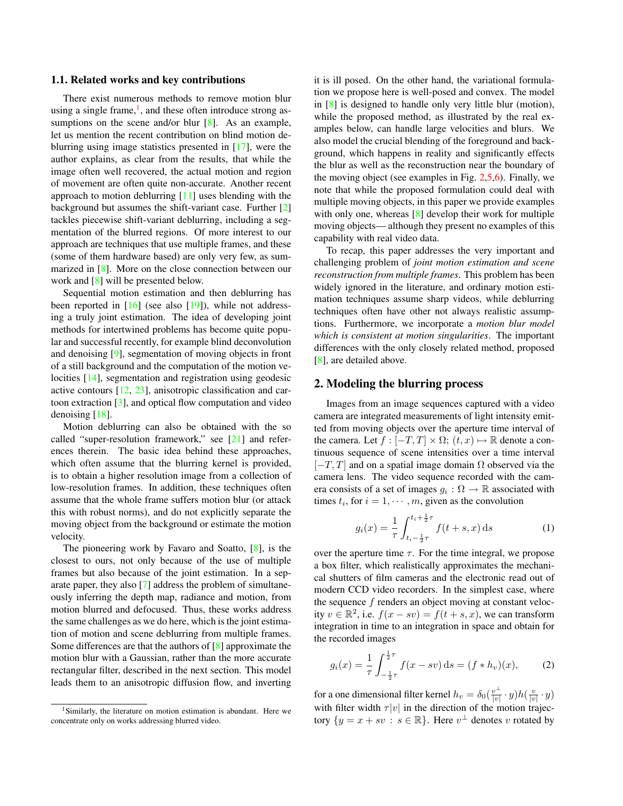#### <span id="page-2-4"></span>1.1. Related works and key contributions

There exist numerous methods to remove motion blur using a single frame,<sup>[1](#page-2-1)</sup>, and these often introduce strong as-sumptions on the scene and/or blur [\[8\]](#page-7-4). As an example, let us mention the recent contribution on blind motion deblurring using image statistics presented in [\[17\]](#page-7-5), were the author explains, as clear from the results, that while the image often well recovered, the actual motion and region of movement are often quite non-accurate. Another recent approach to motion deblurring [\[11\]](#page-7-6) uses blending with the background but assumes the shift-variant case. Further [\[2\]](#page-7-7) tackles piecewise shift-variant deblurring, including a segmentation of the blurred regions. Of more interest to our approach are techniques that use multiple frames, and these (some of them hardware based) are only very few, as summarized in [\[8\]](#page-7-4). More on the close connection between our work and [\[8\]](#page-7-4) will be presented below.

Sequential motion estimation and then deblurring has been reported in  $[16]$  (see also  $[19]$ ), while not addressing a truly joint estimation. The idea of developing joint methods for intertwined problems has become quite popular and successful recently, for example blind deconvolution and denoising [\[9\]](#page-7-10), segmentation of moving objects in front of a still background and the computation of the motion velocities [\[14\]](#page-7-11), segmentation and registration using geodesic active contours [\[12,](#page-7-12) [23\]](#page-7-13), anisotropic classification and cartoon extraction [\[3\]](#page-7-14), and optical flow computation and video denoising [\[18\]](#page-7-15).

Motion deblurring can also be obtained with the so called "super-resolution framework," see  $[21]$  and references therein. The basic idea behind these approaches, which often assume that the blurring kernel is provided, is to obtain a higher resolution image from a collection of low-resolution frames. In addition, these techniques often assume that the whole frame suffers motion blur (or attack this with robust norms), and do not explicitly separate the moving object from the background or estimate the motion velocity.

The pioneering work by Favaro and Soatto,  $[8]$ , is the closest to ours, not only because of the use of multiple frames but also because of the joint estimation. In a separate paper, they also [\[7\]](#page-7-17) address the problem of simultaneously inferring the depth map, radiance and motion, from motion blurred and defocused. Thus, these works address the same challenges as we do here, which is the joint estimation of motion and scene deblurring from multiple frames. Some differences are that the authors of [\[8\]](#page-7-4) approximate the motion blur with a Gaussian, rather than the more accurate rectangular filter, described in the next section. This model leads them to an anisotropic diffusion flow, and inverting it is ill posed. On the other hand, the variational formulation we propose here is well-posed and convex. The model in [\[8\]](#page-7-4) is designed to handle only very little blur (motion), while the proposed method, as illustrated by the real examples below, can handle large velocities and blurs. We also model the crucial blending of the foreground and background, which happens in reality and significantly effects the blur as well as the reconstruction near the boundary of the moving object (see examples in Fig. [2](#page-1-0)[,5](#page-3-1)[,6\)](#page-4-2). Finally, we note that while the proposed formulation could deal with multiple moving objects, in this paper we provide examples with only one, whereas [\[8\]](#page-7-4) develop their work for multiple moving objects— although they present no examples of this capability with real video data.

To recap, this paper addresses the very important and challenging problem of *joint motion estimation and scene reconstruction from multiple frames*. This problem has been widely ignored in the literature, and ordinary motion estimation techniques assume sharp videos, while deblurring techniques often have other not always realistic assumptions. Furthermore, we incorporate a *motion blur model which is consistent at motion singularities*. The important differences with the only closely related method, proposed [\[8\]](#page-7-4), are detailed above.

## <span id="page-2-0"></span>2. Modeling the blurring process

Images from an image sequences captured with a video camera are integrated measurements of light intensity emitted from moving objects over the aperture time interval of the camera. Let  $f : [-T, T] \times \Omega$ ;  $(t, x) \mapsto \mathbb{R}$  denote a continuous sequence of scene intensities over a time interval  $[-T, T]$  and on a spatial image domain  $\Omega$  observed via the camera lens. The video sequence recorded with the camera consists of a set of images  $g_i : \Omega \to \mathbb{R}$  associated with times  $t_i$ , for  $i = 1, \dots, m$ , given as the convolution

<span id="page-2-2"></span>
$$
g_i(x) = \frac{1}{\tau} \int_{t_i - \frac{1}{2}\tau}^{t_i + \frac{1}{2}\tau} f(t+s, x) \,ds \tag{1}
$$

over the aperture time  $\tau$ . For the time integral, we propose a box filter, which realistically approximates the mechanical shutters of film cameras and the electronic read out of modern CCD video recorders. In the simplest case, where the sequence f renders an object moving at constant velocity  $v \in \mathbb{R}^2$ , i.e.  $f(x - sv) = f(t + s, x)$ , we can transform integration in time to an integration in space and obtain for the recorded images

<span id="page-2-3"></span>
$$
g_i(x) = \frac{1}{\tau} \int_{-\frac{1}{2}\tau}^{\frac{1}{2}\tau} f(x - sv) \, ds = (f * h_v)(x), \tag{2}
$$

for a one dimensional filter kernel  $h_v = \delta_0(\frac{v^{\perp}}{|v|})$  $\frac{v^\perp}{|v|}\cdot y)h(\frac{v}{|v|}\cdot y)$ with filter width  $\tau |v|$  in the direction of the motion trajectory  $\{y = x + sv : s \in \mathbb{R}\}$ . Here  $v^{\perp}$  denotes v rotated by

<span id="page-2-1"></span><sup>&</sup>lt;sup>1</sup>Similarly, the literature on motion estimation is abundant. Here we concentrate only on works addressing blurred video.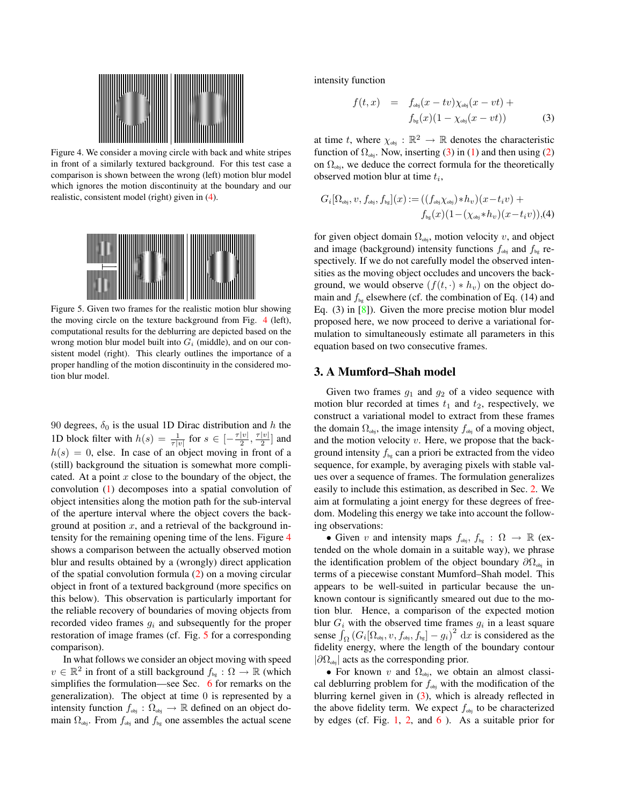<span id="page-3-5"></span>

<span id="page-3-3"></span>Figure 4. We consider a moving circle with back and white stripes in front of a similarly textured background. For this test case a comparison is shown between the wrong (left) motion blur model which ignores the motion discontinuity at the boundary and our realistic, consistent model (right) given in [\(4\)](#page-3-2).

<span id="page-3-1"></span>

Figure 5. Given two frames for the realistic motion blur showing the moving circle on the texture background from Fig. [4](#page-3-3) (left), computational results for the deblurring are depicted based on the wrong motion blur model built into  $G_i$  (middle), and on our consistent model (right). This clearly outlines the importance of a proper handling of the motion discontinuity in the considered motion blur model.

90 degrees,  $\delta_0$  is the usual 1D Dirac distribution and h the 1D block filter with  $h(s) = \frac{1}{\tau|v|}$  for  $s \in [-\frac{\tau|v|}{2}]$  $\frac{|v|}{2}, \frac{\tau |v|}{2}$  $\frac{|v|}{2}$  and  $h(s) = 0$ , else. In case of an object moving in front of a (still) background the situation is somewhat more complicated. At a point  $x$  close to the boundary of the object, the convolution [\(1\)](#page-2-2) decomposes into a spatial convolution of object intensities along the motion path for the sub-interval of the aperture interval where the object covers the background at position  $x$ , and a retrieval of the background intensity for the remaining opening time of the lens. Figure [4](#page-3-3) shows a comparison between the actually observed motion blur and results obtained by a (wrongly) direct application of the spatial convolution formula [\(2\)](#page-2-3) on a moving circular object in front of a textured background (more specifics on this below). This observation is particularly important for the reliable recovery of boundaries of moving objects from recorded video frames  $g_i$  and subsequently for the proper restoration of image frames (cf. Fig. [5](#page-3-1) for a corresponding comparison).

In what follows we consider an object moving with speed  $v \in \mathbb{R}^2$  in front of a still background  $f_{bg}: \Omega \to \mathbb{R}$  (which simplifies the formulation—see Sec. [6](#page-6-0) for remarks on the generalization). The object at time 0 is represented by a intensity function  $f_{obj}$  :  $\Omega_{obj} \to \mathbb{R}$  defined on an object domain  $\Omega_{obj}$ . From  $f_{obj}$  and  $f_{bg}$  one assembles the actual scene

intensity function

<span id="page-3-4"></span>
$$
f(t,x) = f_{\text{obj}}(x - tv) \chi_{\text{obj}}(x - vt) + f_{\text{bg}}(x)(1 - \chi_{\text{obj}}(x - vt))
$$
 (3)

at time t, where  $\chi_{obj} : \mathbb{R}^2 \to \mathbb{R}$  denotes the characteristic function of  $\Omega_{\text{obj}}$ . Now, inserting [\(3\)](#page-3-4) in [\(1\)](#page-2-2) and then using [\(2\)](#page-2-3) on  $\Omega_{obj}$ , we deduce the correct formula for the theoretically observed motion blur at time  $t_i$ ,

<span id="page-3-2"></span>
$$
G_i[\Omega_{\text{obj}}, v, f_{\text{obj}}, f_{\text{bg}}](x) := ((f_{\text{obj}} \chi_{\text{obj}}) * h_v)(x - t_i v) +f_{\text{bg}}(x)(1 - (\chi_{\text{obj}} * h_v)(x - t_i v)),(4)
$$

for given object domain  $\Omega_{obj}$ , motion velocity v, and object and image (background) intensity functions  $f_{\text{obj}}$  and  $f_{\text{bg}}$  respectively. If we do not carefully model the observed intensities as the moving object occludes and uncovers the background, we would observe  $(f(t, \cdot) * h_v)$  on the object domain and  $f_{\text{bg}}$  elsewhere (cf. the combination of Eq. (14) and Eq. (3) in [\[8\]](#page-7-4)). Given the more precise motion blur model proposed here, we now proceed to derive a variational formulation to simultaneously estimate all parameters in this equation based on two consecutive frames.

# <span id="page-3-0"></span>3. A Mumford–Shah model

Given two frames  $g_1$  and  $g_2$  of a video sequence with motion blur recorded at times  $t_1$  and  $t_2$ , respectively, we construct a variational model to extract from these frames the domain  $\Omega_{obj}$ , the image intensity  $f_{obj}$  of a moving object, and the motion velocity  $v$ . Here, we propose that the background intensity  $f_{\text{bg}}$  can a priori be extracted from the video sequence, for example, by averaging pixels with stable values over a sequence of frames. The formulation generalizes easily to include this estimation, as described in Sec. [2.](#page-2-0) We aim at formulating a joint energy for these degrees of freedom. Modeling this energy we take into account the following observations:

• Given v and intensity maps  $f_{obj}$ ,  $f_{bg}$  :  $\Omega \rightarrow \mathbb{R}$  (extended on the whole domain in a suitable way), we phrase the identification problem of the object boundary  $\partial\Omega_{\text{obj}}$  in terms of a piecewise constant Mumford–Shah model. This appears to be well-suited in particular because the unknown contour is significantly smeared out due to the motion blur. Hence, a comparison of the expected motion blur  $G_i$  with the observed time frames  $g_i$  in a least square sense  $\int_{\Omega} (G_i[\Omega_{\text{obj}}, v, f_{\text{obj}}, f_{\text{bg}}] - g_i)^2 dx$  is considered as the fidelity energy, where the length of the boundary contour  $|\partial\Omega_{\text{obj}}|$  acts as the corresponding prior.

• For known v and  $\Omega_{obj}$ , we obtain an almost classical deblurring problem for  $f_{\text{obj}}$  with the modification of the blurring kernel given in  $(3)$ , which is already reflected in the above fidelity term. We expect  $f_{\text{obj}}$  to be characterized by edges (cf. Fig. [1,](#page-0-0) [2,](#page-1-0) and  $6$ ). As a suitable prior for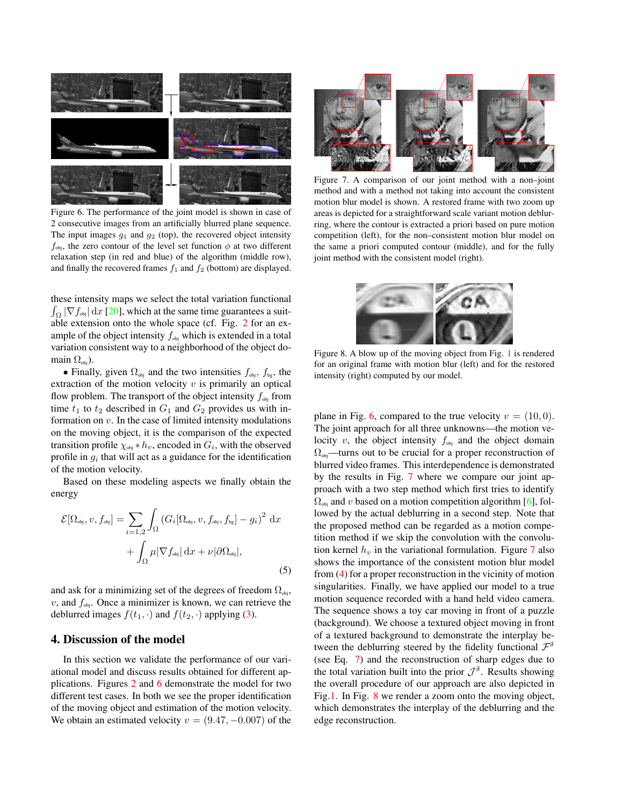<span id="page-4-5"></span>

<span id="page-4-2"></span>Figure 6. The performance of the joint model is shown in case of 2 consecutive images from an artificially blurred plane sequence. The input images  $g_1$  and  $g_2$  (top), the recovered object intensity  $f_{obj}$ , the zero contour of the level set function  $\phi$  at two different relaxation step (in red and blue) of the algorithm (middle row), and finally the recovered frames  $f_1$  and  $f_2$  (bottom) are displayed.

these intensity maps we select the total variation functional  $\int_{\Omega} |\nabla f_{\text{obj}}| \,dx$  [\[20\]](#page-7-18), which at the same time guarantees a suitable extension onto the whole space (cf. Fig. [2](#page-1-0) for an example of the object intensity  $f_{obj}$  which is extended in a total variation consistent way to a neighborhood of the object domain  $\Omega_{obj}$ ).

• Finally, given  $\Omega_{\text{obj}}$  and the two intensities  $f_{\text{obj}}$ ,  $f_{\text{bg}}$ , the extraction of the motion velocity  $v$  is primarily an optical flow problem. The transport of the object intensity  $f_{obj}$  from time  $t_1$  to  $t_2$  described in  $G_1$  and  $G_2$  provides us with information on  $v$ . In the case of limited intensity modulations on the moving object, it is the comparison of the expected transition profile  $\chi_{\text{obj}} * h_v$ , encoded in  $G_i$ , with the observed profile in  $g_i$  that will act as a guidance for the identification of the motion velocity.

Based on these modeling aspects we finally obtain the energy

<span id="page-4-4"></span>
$$
\mathcal{E}[\Omega_{\text{obj}}, v, f_{\text{obj}}] = \sum_{i=1,2} \int_{\Omega} \left( G_i[\Omega_{\text{obj}}, v, f_{\text{obj}}, f_{\text{bg}}] - g_i \right)^2 dx + \int_{\Omega} \mu |\nabla f_{\text{obj}}| dx + \nu |\partial \Omega_{\text{obj}}|,
$$
(5)

and ask for a minimizing set of the degrees of freedom  $\Omega_{\text{obj}}$ ,  $v$ , and  $f_{obj}$ . Once a minimizer is known, we can retrieve the deblurred images  $f(t_1, \cdot)$  and  $f(t_2, \cdot)$  applying [\(3\)](#page-3-4).

## <span id="page-4-1"></span>4. Discussion of the model

In this section we validate the performance of our variational model and discuss results obtained for different applications. Figures [2](#page-1-0) and [6](#page-4-2) demonstrate the model for two different test cases. In both we see the proper identification of the moving object and estimation of the motion velocity. We obtain an estimated velocity  $v = (9.47, -0.007)$  of the



<span id="page-4-0"></span>Figure 7. A comparison of our joint method with a non–joint method and with a method not taking into account the consistent motion blur model is shown. A restored frame with two zoom up areas is depicted for a straightforward scale variant motion deblurring, where the contour is extracted a priori based on pure motion competition (left), for the non–consistent motion blur model on the same a priori computed contour (middle), and for the fully joint method with the consistent model (right).

<span id="page-4-3"></span>

Figure 8. A blow up of the moving object from Fig. [1](#page-0-0) is rendered for an original frame with motion blur (left) and for the restored intensity (right) computed by our model.

plane in Fig. [6,](#page-4-2) compared to the true velocity  $v = (10, 0)$ . The joint approach for all three unknowns—the motion velocity v, the object intensity  $f_{\text{obj}}$  and the object domain  $\Omega_{\text{obj}}$ —turns out to be crucial for a proper reconstruction of blurred video frames. This interdependence is demonstrated by the results in Fig. [7](#page-4-0) where we compare our joint approach with a two step method which first tries to identify  $\Omega_{\text{obj}}$  and v based on a motion competition algorithm [\[6\]](#page-7-19), followed by the actual deblurring in a second step. Note that the proposed method can be regarded as a motion competition method if we skip the convolution with the convolution kernel  $h<sub>v</sub>$  in the variational formulation. Figure [7](#page-4-0) also shows the importance of the consistent motion blur model from [\(4\)](#page-3-2) for a proper reconstruction in the vicinity of motion singularities. Finally, we have applied our model to a true motion sequence recorded with a hand held video camera. The sequence shows a toy car moving in front of a puzzle (background). We choose a textured object moving in front of a textured background to demonstrate the interplay between the deblurring steered by the fidelity functional  $\mathcal{F}^{\delta}$ (see Eq. [7\)](#page-5-1) and the reconstruction of sharp edges due to the total variation built into the prior  $\mathcal{J}^{\delta}$ . Results showing the overall procedure of our approach are also depicted in Fig[.1.](#page-0-0) In Fig. [8](#page-4-3) we render a zoom onto the moving object, which demonstrates the interplay of the deblurring and the edge reconstruction.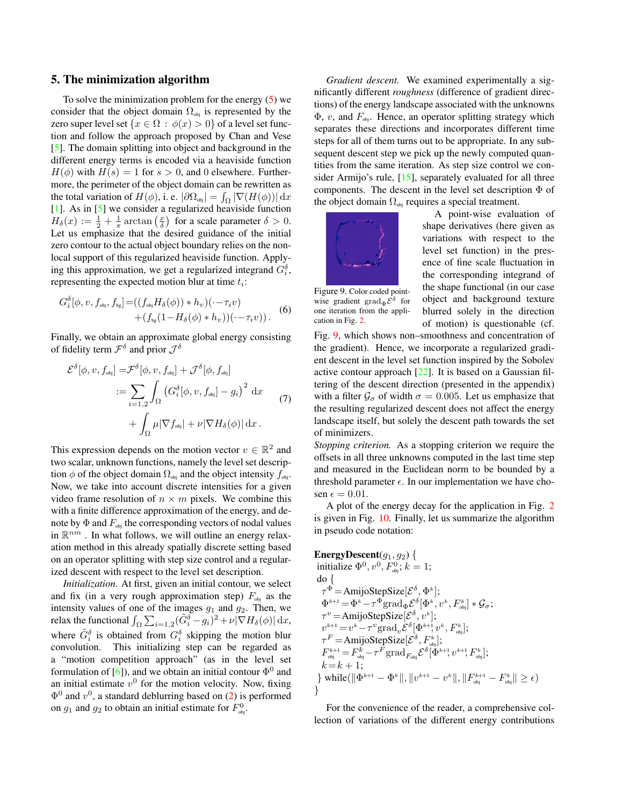## <span id="page-5-0"></span>5. The minimization algorithm

To solve the minimization problem for the energy  $(5)$  we consider that the object domain  $\Omega_{obj}$  is represented by the zero super level set  $\{x \in \Omega : \phi(x) > 0\}$  of a level set function and follow the approach proposed by Chan and Vese [\[5\]](#page-7-20). The domain splitting into object and background in the different energy terms is encoded via a heaviside function  $H(\phi)$  with  $H(s) = 1$  for  $s > 0$ , and 0 elsewhere. Furthermore, the perimeter of the object domain can be rewritten as the total variation of  $H(\phi)$ , i. e.  $|\partial\Omega_{\text{obj}}| = \int_{\Omega} |\nabla(H(\phi))| \,dx$ [\[1\]](#page-6-1). As in [\[5\]](#page-7-20) we consider a regularized heaviside function  $H_\delta(x) := \frac{1}{2} + \frac{1}{\pi} \arctan\left(\frac{x}{\delta}\right)$  for a scale parameter  $\delta > 0$ . Let us emphasize that the desired guidance of the initial zero contour to the actual object boundary relies on the nonlocal support of this regularized heaviside function. Applying this approximation, we get a regularized integrand  $G_i^{\delta}$ , representing the expected motion blur at time  $t_i$ :

$$
G_i^{\delta}[\phi, v, f_{\text{obj}}, f_{\text{bg}}] = ((f_{\text{obj}}H_{\delta}(\phi)) * h_v)(\cdot - \tau_i v) + (f_{\text{bg}}(1 - H_{\delta}(\phi) * h_v))(\cdot - \tau_i v)).
$$
 (6)

Finally, we obtain an approximate global energy consisting of fidelity term  $\mathcal{F}^{\delta}$  and prior  $\mathcal{J}^{\delta}$ 

<span id="page-5-1"></span>
$$
\mathcal{E}^{\delta}[\phi, v, f_{\text{obj}}] = \mathcal{F}^{\delta}[\phi, v, f_{\text{obj}}] + \mathcal{J}^{\delta}[\phi, f_{\text{obj}}]
$$
  

$$
:= \sum_{i=1,2} \int_{\Omega} (G_i^{\delta}[\phi, v, f_{\text{obj}}] - g_i)^2 dx
$$
  

$$
+ \int_{\Omega} \mu |\nabla f_{\text{obj}}| + \nu |\nabla H_{\delta}(\phi)| dx.
$$
 (7)

This expression depends on the motion vector  $v \in \mathbb{R}^2$  and two scalar, unknown functions, namely the level set description  $\phi$  of the object domain  $\Omega_{\text{obj}}$  and the object intensity  $f_{\text{obj}}$ . Now, we take into account discrete intensities for a given video frame resolution of  $n \times m$  pixels. We combine this with a finite difference approximation of the energy, and denote by  $\Phi$  and  $F_{obj}$  the corresponding vectors of nodal values in  $\mathbb{R}^{nm}$  . In what follows, we will outline an energy relaxation method in this already spatially discrete setting based on an operator splitting with step size control and a regularized descent with respect to the level set description.

*Initialization.* At first, given an initial contour, we select and fix (in a very rough approximation step)  $F_{obj}$  as the intensity values of one of the images  $g_1$  and  $g_2$ . Then, we relax the functional  $\int_{\Omega} \sum_{i=1,2} (\tilde{G}_i^{\delta} - g_i)^2 + \nu |\nabla H_{\delta}(\phi)| \,dx$ , where  $\tilde{G}_{i}^{\delta}$  is obtained from  $G_{i}^{\delta}$  skipping the motion blur convolution. This initializing step can be regarded as a "motion competition approach" (as in the level set formulation of [\[6\]](#page-7-19)), and we obtain an initial contour  $\Phi^0$  and an initial estimate  $v^0$  for the motion velocity. Now, fixing  $\Phi^0$  and  $v^0$ , a standard deblurring based on [\(2\)](#page-2-3) is performed on  $g_1$  and  $g_2$  to obtain an initial estimate for  $F_{\text{obj}}^0$ .

*Gradient descent.* We examined experimentally a significantly different *roughness* (difference of gradient directions) of the energy landscape associated with the unknowns  $\Phi$ , v, and  $F_{obj}$ . Hence, an operator splitting strategy which separates these directions and incorporates different time steps for all of them turns out to be appropriate. In any subsequent descent step we pick up the newly computed quantities from the same iteration. As step size control we con-sider Armijo's rule, [\[15\]](#page-7-21), separately evaluated for all three components. The descent in the level set description  $\Phi$  of the object domain  $\Omega_{\text{obj}}$  requires a special treatment.



Figure 9. Color coded pointwise gradient grad $_{\Phi} \mathcal{E}^{\delta}$  for one iteration from the application in Fig. [2.](#page-1-0)

A point-wise evaluation of shape derivatives (here given as variations with respect to the level set function) in the presence of fine scale fluctuation in the corresponding integrand of the shape functional (in our case object and background texture blurred solely in the direction of motion) is questionable (cf.

<span id="page-5-2"></span>Fig. [9,](#page-5-2) which shows non–smoothness and concentration of the gradient). Hence, we incorporate a regularized gradient descent in the level set function inspired by the Sobolev active contour approach [\[22\]](#page-7-22). It is based on a Gaussian filtering of the descent direction (presented in the appendix) with a filter  $\mathcal{G}_{\sigma}$  of width  $\sigma = 0.005$ . Let us emphasize that the resulting regularized descent does not affect the energy landscape itself, but solely the descent path towards the set of minimizers.

*Stopping criterion.* As a stopping criterion we require the offsets in all three unknowns computed in the last time step and measured in the Euclidean norm to be bounded by a threshold parameter  $\epsilon$ . In our implementation we have chosen  $\epsilon = 0.01$ .

A plot of the energy decay for the application in Fig. [2](#page-1-0) is given in Fig. [10.](#page-6-2) Finally, let us summarize the algorithm in pseudo code notation:

**EnergyDescent**
$$
(g_1, g_2)
$$
 {  
\n     initialize  $\Phi^0, v^0, F_{\text{obj}}^0; k = 1;$   
\n     do {  
\n      $\tau^{\Phi} = \text{Amijos} \text{Step} \text{Size} [\mathcal{E}^{\delta}, \Phi^k];$   
\n      $\Phi^{k+1} = \Phi^k - \tau^{\Phi} \text{grad}_{\Phi} \mathcal{E}^{\delta} [\Phi^k, v^k, F_{\text{obj}}^k] * \mathcal{G}_{\sigma};$   
\n      $\tau^v = \text{Amijos} \text{step} \text{Size} [\mathcal{E}^{\delta}, v^k];$   
\n      $v^{k+1} = v^k - \tau^v \text{grad}_v \mathcal{E}^{\delta} [\Phi^{k+1}, v^k, F_{\text{obj}}^k];$   
\n      $\tau^F = \text{Amijos} \text{step} \text{Size} [\mathcal{E}^{\delta}, F_{\text{obj}}^k];$   
\n      $F_{\text{obj}}^{k+1} = F_{\text{obj}}^k - \tau^F \text{grad}_{F_{\text{obj}}} \mathcal{E}^{\delta} [\Phi^{k+1}, v^{k+1}, F_{\text{obj}}^k];$   
\n      $k = k + 1;$   
\n     }  
\n     while (|| $\Phi^{k+1} - \Phi^k$ ||, || $v^{k+1} - v^k$ ||, || $F_{\text{obj}}^{k+1} - F_{\text{obj}}^k$ ||  $\geq \epsilon$ )

For the convenience of the reader, a comprehensive collection of variations of the different energy contributions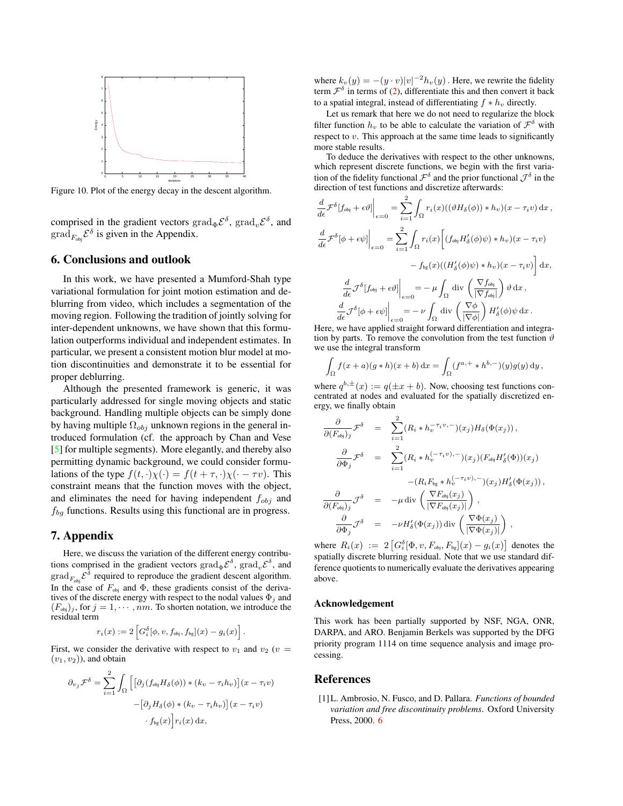<span id="page-6-3"></span>

<span id="page-6-2"></span>Figure 10. Plot of the energy decay in the descent algorithm.

comprised in the gradient vectors  $\text{grad}_{\Phi} \mathcal{E}^{\delta}$ ,  $\text{grad}_{v} \mathcal{E}^{\delta}$ , and  $\mathrm{grad}_{F_{\text{obj}}} \mathcal{E}^{\delta}$  is given in the Appendix.

# <span id="page-6-0"></span>6. Conclusions and outlook

In this work, we have presented a Mumford-Shah type variational formulation for joint motion estimation and deblurring from video, which includes a segmentation of the moving region. Following the tradition of jointly solving for inter-dependent unknowns, we have shown that this formulation outperforms individual and independent estimates. In particular, we present a consistent motion blur model at motion discontinuities and demonstrate it to be essential for proper deblurring.

Although the presented framework is generic, it was particularly addressed for single moving objects and static background. Handling multiple objects can be simply done by having multiple  $\Omega_{obj}$  unknown regions in the general introduced formulation (cf. the approach by Chan and Vese [\[5\]](#page-7-20) for multiple segments). More elegantly, and thereby also permitting dynamic background, we could consider formulations of the type  $f(t, \cdot) \chi(\cdot) = f(t + \tau, \cdot) \chi(\cdot - \tau v)$ . This constraint means that the function moves with the object, and eliminates the need for having independent  $f_{obj}$  and  $f_{bg}$  functions. Results using this functional are in progress.

# 7. Appendix

Here, we discuss the variation of the different energy contributions comprised in the gradient vectors  $\text{grad}_{\Phi} \mathcal{E}^{\delta}$ ,  $\text{grad}_{v} \mathcal{E}^{\delta}$ , and  $\text{grad}_{F_{\text{obj}}} \mathcal{E}^{\delta}$  required to reproduce the gradient descent algorithm. In the case of  $F_{obj}$  and  $\Phi$ , these gradients consist of the derivatives of the discrete energy with respect to the nodal values  $\Phi_j$  and  $(F_{obj})_j$ , for  $j = 1, \dots, nm$ . To shorten notation, we introduce the residual term

$$
r_i(x) := 2\left[G_i^{\delta}[\phi, v, f_{\text{obj}}, f_{\text{bg}}](x) - g_i(x)\right].
$$

First, we consider the derivative with respect to  $v_1$  and  $v_2$  ( $v =$  $(v_1, v_2)$ , and obtain

$$
\partial_{v_j} \mathcal{F}^{\delta} = \sum_{i=1}^{2} \int_{\Omega} \Big[ \big[ \partial_j (f_{\text{obj}} H_{\delta}(\phi)) * (k_v - \tau_i h_v) \big] (x - \tau_i v) - \big[ \partial_j H_{\delta}(\phi) * (k_v - \tau_i h_v) \big] (x - \tau_i v) \cdot f_{\text{bg}}(x) \big] r_i(x) dx,
$$

where  $k_v(y) = -(y \cdot v)|v|^{-2}h_v(y)$ . Here, we rewrite the fidelity term  $\mathcal{F}^{\delta}$  in terms of [\(2\)](#page-2-3), differentiate this and then convert it back to a spatial integral, instead of differentiating  $f * h<sub>v</sub>$  directly.

Let us remark that here we do not need to regularize the block filter function  $h_v$  to be able to calculate the variation of  $\mathcal{F}^{\delta}$  with respect to  $v$ . This approach at the same time leads to significantly more stable results.

To deduce the derivatives with respect to the other unknowns, which represent discrete functions, we begin with the first variation of the fidelity functional  $\mathcal{F}^{\delta}$  and the prior functional  $\mathcal{J}^{\delta}$  in the direction of test functions and discretize afterwards:

$$
\frac{d}{d\epsilon} \mathcal{F}^{\delta}[f_{\text{obj}} + \epsilon \vartheta] \Big|_{\epsilon=0} = \sum_{i=1}^{2} \int_{\Omega} r_{i}(x) ((\vartheta H_{\delta}(\phi)) * h_{v})(x - \tau_{i}v) dx,
$$
  

$$
\frac{d}{d\epsilon} \mathcal{F}^{\delta}[\phi + \epsilon \psi] \Big|_{\epsilon=0} = \sum_{i=1}^{2} \int_{\Omega} r_{i}(x) \Big[ (f_{\text{obj}} H'_{\delta}(\phi)\psi) * h_{v})(x - \tau_{i}v) - f_{\text{bg}}(x) ((H'_{\delta}(\phi)\psi) * h_{v})(x - \tau_{i}v) \Big] dx,
$$
  

$$
\frac{d}{d\epsilon} \mathcal{J}^{\delta}[f_{\text{obj}} + \epsilon \vartheta] \Big|_{\epsilon=0} = -\mu \int_{\Omega} \text{div} \left( \frac{\nabla f_{\text{obj}}}{|\nabla f_{\text{obj}}|} \right) \vartheta dx,
$$
  

$$
\frac{d}{d\epsilon} \mathcal{J}^{\delta}[\phi + \epsilon \psi] \Big|_{\epsilon=0} = -\nu \int_{\Omega} \text{div} \left( \frac{\nabla \phi}{|\nabla \phi|} \right) H'_{\delta}(\phi)\psi dx.
$$

Here, we have applied straight forward differentiation and integration by parts. To remove the convolution from the test function  $\vartheta$ we use the integral transform

$$
\int_{\Omega} f(x+a)(g*h)(x+b) dx = \int_{\Omega} (f^{a,+} * h^{b,-})(y)g(y) dy,
$$

where  $q^{b,\pm}(x) := q(\pm x + b)$ . Now, choosing test functions concentrated at nodes and evaluated for the spatially discretized energy, we finally obtain

$$
\frac{\partial}{\partial (F_{\text{obj}})_j} \mathcal{F}^{\delta} = \sum_{i=1}^{2} (R_i * h_v^{-\tau_i v, -})(x_j) H_{\delta}(\Phi(x_j)),
$$
\n
$$
\frac{\partial}{\partial \Phi_j} \mathcal{F}^{\delta} = \sum_{i=1}^{2} (R_i * h_v^{(-\tau_i v), -})(x_j) (F_{\text{obj}} H'_{\delta}(\Phi))(x_j)
$$
\n
$$
- (R_i F_{\text{bg}} * h_v^{(-\tau_i v), -})(x_j) H'_{\delta}(\Phi(x_j)),
$$
\n
$$
\frac{\partial}{\partial (F_{\text{obj}})_j} \mathcal{J}^{\delta} = -\mu \operatorname{div} \left( \frac{\nabla F_{\text{obj}}(x_j)}{|\nabla F_{\text{obj}}(x_j)|} \right),
$$
\n
$$
\frac{\partial}{\partial \Phi_j} \mathcal{J}^{\delta} = -\nu H'_{\delta}(\Phi(x_j)) \operatorname{div} \left( \frac{\nabla \Phi(x_j)}{|\nabla \Phi(x_j)|} \right),
$$

where  $R_i(x) := 2 \left[ G_i^{\delta} [\Phi, v, F_{\text{obj}}, F_{\text{bg}}](x) - g_i(x) \right]$  denotes the spatially discrete blurring residual. Note that we use standard difference quotients to numerically evaluate the derivatives appearing above.

#### Acknowledgement

This work has been partially supported by NSF, NGA, ONR, DARPA, and ARO. Benjamin Berkels was supported by the DFG priority program 1114 on time sequence analysis and image processing.

#### References

<span id="page-6-1"></span>[1]L. Ambrosio, N. Fusco, and D. Pallara. *Functions of bounded variation and free discontinuity problems*. Oxford University Press, 2000. [6](#page-5-0)